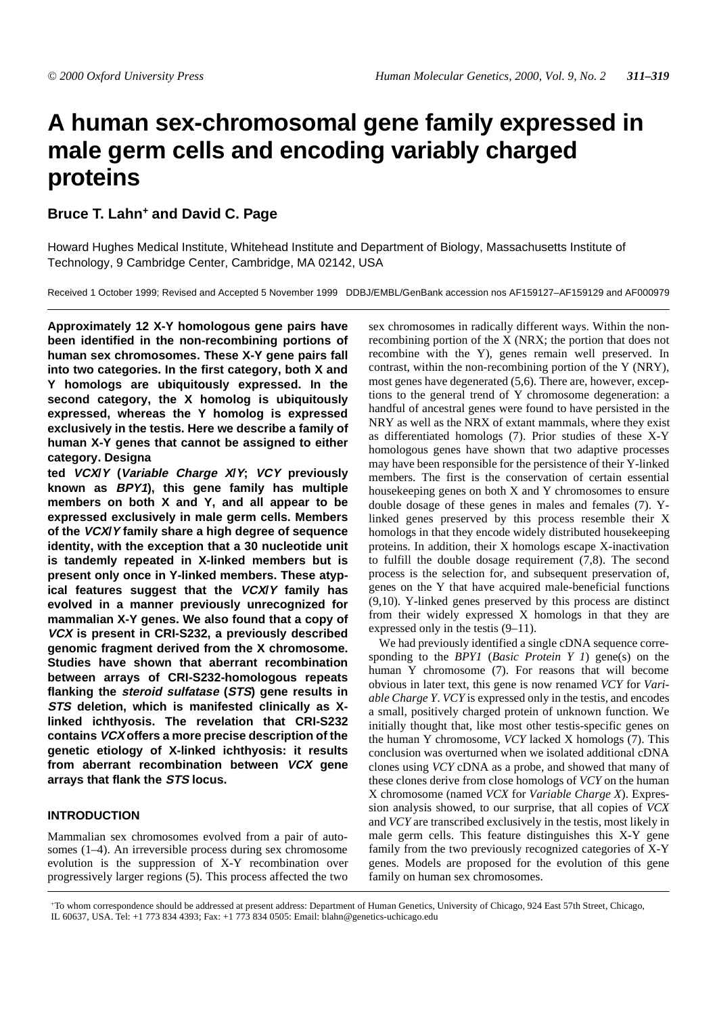# **A human sex-chromosomal gene family expressed in male germ cells and encoding variably charged proteins**

# **Bruce T. Lahn+ and David C. Page**

Howard Hughes Medical Institute, Whitehead Institute and Department of Biology, Massachusetts Institute of Technology, 9 Cambridge Center, Cambridge, MA 02142, USA

Received 1 October 1999; Revised and Accepted 5 November 1999 DDBJ/EMBL/GenBank accession nos AF159127–AF159129 and AF000979

**Approximately 12 X-Y homologous gene pairs have been identified in the non-recombining portions of human sex chromosomes. These X-Y gene pairs fall into two categories. In the first category, both X and Y homologs are ubiquitously expressed. In the second category, the X homolog is ubiquitously expressed, whereas the Y homolog is expressed exclusively in the testis. Here we describe a family of human X-Y genes that cannot be assigned to either category. Designa**

**ted VCX/Y (Variable Charge X/Y; VCY previously known as BPY1), this gene family has multiple members on both X and Y, and all appear to be expressed exclusively in male germ cells. Members of the VCX/Y family share a high degree of sequence identity, with the exception that a 30 nucleotide unit is tandemly repeated in X-linked members but is present only once in Y-linked members. These atypical features suggest that the VCX/Y family has evolved in a manner previously unrecognized for mammalian X-Y genes. We also found that a copy of VCX is present in CRI-S232, a previously described genomic fragment derived from the X chromosome. Studies have shown that aberrant recombination between arrays of CRI-S232-homologous repeats flanking the steroid sulfatase (STS) gene results in STS deletion, which is manifested clinically as Xlinked ichthyosis. The revelation that CRI-S232 contains VCX offers a more precise description of the genetic etiology of X-linked ichthyosis: it results from aberrant recombination between VCX gene arrays that flank the STS locus.**

## **INTRODUCTION**

Mammalian sex chromosomes evolved from a pair of autosomes ([1–](#page-7-0)[4\)](#page-7-1). An irreversible process during sex chromosome evolution is the suppression of X-Y recombination over progressively larger regions ([5](#page-7-2)). This process affected the two sex chromosomes in radically different ways. Within the nonrecombining portion of the X (NRX; the portion that does not recombine with the Y), genes remain well preserved. In contrast, within the non-recombining portion of the Y (NRY), most genes have degenerated [\(5](#page-7-2),[6\)](#page-7-3). There are, however, exceptions to the general trend of Y chromosome degeneration: a handful of ancestral genes were found to have persisted in the NRY as well as the NRX of extant mammals, where they exist as differentiated homologs ([7\)](#page-7-4). Prior studies of these X-Y homologous genes have shown that two adaptive processes may have been responsible for the persistence of their Y-linked members. The first is the conservation of certain essential housekeeping genes on both X and Y chromosomes to ensure double dosage of these genes in males and females ([7\)](#page-7-4). Ylinked genes preserved by this process resemble their X homologs in that they encode widely distributed housekeeping proteins. In addition, their X homologs escape X-inactivation to fulfill the double dosage requirement [\(7](#page-7-4),[8\)](#page-7-5). The second process is the selection for, and subsequent preservation of, genes on the Y that have acquired male-beneficial functions [\(9](#page-7-6),[10\)](#page-7-7). Y-linked genes preserved by this process are distinct from their widely expressed X homologs in that they are expressed only in the testis ([9](#page-7-6)[–11\)](#page-7-8).

We had previously identified a single cDNA sequence corresponding to the *BPY1* (*Basic Protein Y 1*) gene(s) on the human Y chromosome ([7\)](#page-7-4). For reasons that will become obvious in later text, this gene is now renamed *VCY* for *Variable Charge Y*. *VCY* is expressed only in the testis, and encodes a small, positively charged protein of unknown function. We initially thought that, like most other testis-specific genes on the human Y chromosome, *VCY* lacked X homologs ([7\)](#page-7-4). This conclusion was overturned when we isolated additional cDNA clones using *VCY* cDNA as a probe, and showed that many of these clones derive from close homologs of *VCY* on the human X chromosome (named *VCX* for *Variable Charge X*). Expression analysis showed, to our surprise, that all copies of *VCX* and *VCY* are transcribed exclusively in the testis, most likely in male germ cells. This feature distinguishes this X-Y gene family from the two previously recognized categories of X-Y genes. Models are proposed for the evolution of this gene family on human sex chromosomes.

+To whom correspondence should be addressed at present address: Department of Human Genetics, University of Chicago, 924 East 57th Street, Chicago, IL 60637, USA. Tel: +1 773 834 4393; Fax: +1 773 834 0505: Email: blahn@genetics-uchicago.edu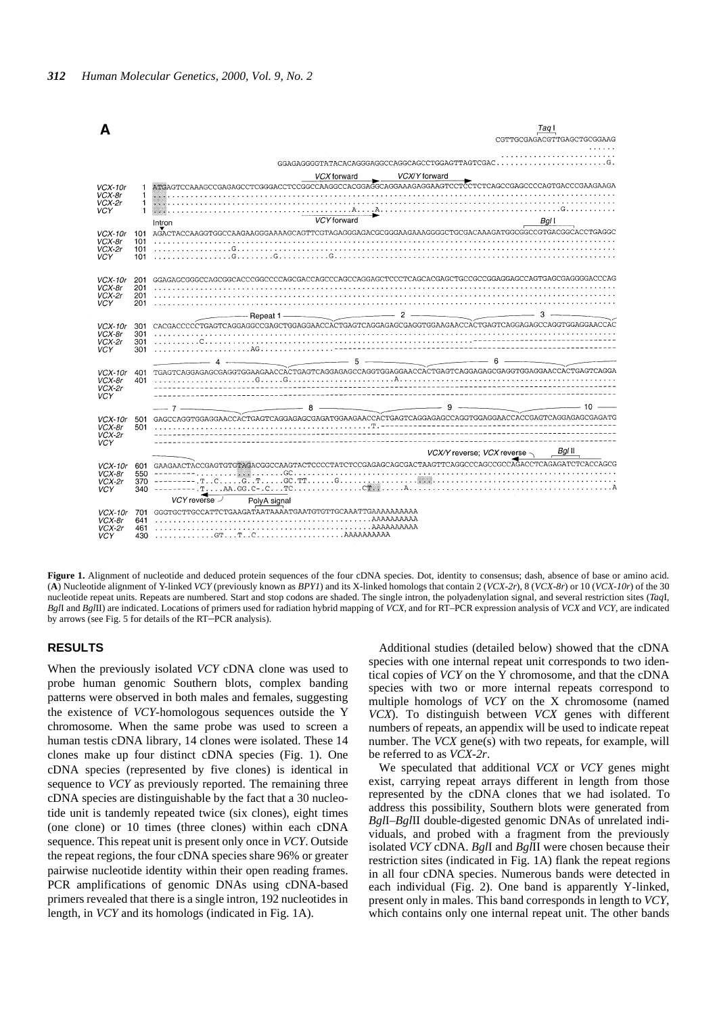<span id="page-1-0"></span>

|                                   |            | Taal<br>CGTTGCGAGACGTTGAGCTGCGGAAG                                                                                     |
|-----------------------------------|------------|------------------------------------------------------------------------------------------------------------------------|
|                                   |            |                                                                                                                        |
|                                   |            | GGAGAGGGGTATACACAGGGAGGCCAGGCAGCCTGGAGTTAGTCGAC                                                                        |
|                                   |            | VCX/Y forward<br>VCX forward                                                                                           |
| $VCX-10r$<br>$VCX-8r$<br>$VCX-2r$ | 1.         | XTGAGTCCAAAGCCGAGAGCCTCGGGACCTCCGGCCAAGGCCACGGAGGCAAGGGAAAGAGGAAGTCCTCTCCTCAGCCGAGCCCAGTGACCCGAAGAAGA                  |
|                                   | 1          |                                                                                                                        |
| <b>VCY</b>                        | 1<br>1.    | www                                                                                                                    |
|                                   |            | <b>VCY</b> forward<br>Bal I<br>Intron                                                                                  |
| $VCX-10r$                         | 101        | $\overbrace{ \text{AGACTACCAAGGTGGCCAAGAAGGGAAAAGCAGTTCGTAGAGGGGAGAGAGAAGAAGGGGCTGGGAAAGATGGCGGCCGTGACGGCACCTGAGGC} }$ |
| $VCX-8r$                          | 101        |                                                                                                                        |
| $VCX-2r$<br><b>VCY</b>            | 101<br>101 | . G G G                                                                                                                |
|                                   |            |                                                                                                                        |
| $VCX-10r$                         | 201        |                                                                                                                        |
| $VCX-8r$                          | 201        |                                                                                                                        |
| $VCX-2r$                          | 201        |                                                                                                                        |
| <b>VCY</b>                        | 201        |                                                                                                                        |
|                                   |            | $\overline{2}$<br>Repeat 1                                                                                             |
| $VCX-10r$<br>$VCX-8r$             | 301<br>301 | CACGACCCCCCTGAGTCAGGAGGCCGAGCTGGAGGAACCACTGAGTCAGGAGGGGAGGTGGAAGACCACTGAGTCAGGAGACCAGGTGGAGGAACCAC                     |
| $VCX-2r$                          | 301        | . C                                                                                                                    |
| <b>VCY</b>                        | 301        | AG                                                                                                                     |
|                                   |            | 6<br>5                                                                                                                 |
| $VCX-10r$                         | 401        | TGAGTCAGGAGAGCGAGGTGGAAGAACCACTGAGTCAGGAGAGCCAGTGGAGGAACCACTGAGTCAGGAGAGCGAGGTGGAGCAACCACTGAGTCAGGA                    |
| $VCX-8r$<br>$VCX-2r$              | 401        | . G.                                                                                                                   |
| <b>VCY</b>                        |            |                                                                                                                        |
|                                   |            | 9<br>8                                                                                                                 |
| $VCX-10r$                         |            | 501 GAGCCAGGTGGAGGAACCACTGAGTCAGGAGAGCGAGATGGAAGAACCACTGAGTCAGGAGAGCCAGGTGGAGGAACCACCGAGTCAGGAGAGCGAGATG               |
| $VCX-8r$                          | 501        |                                                                                                                        |
| $VCX-2r$<br><b>VCY</b>            |            |                                                                                                                        |
|                                   |            | BgI II<br>VCX/Y reverse; VCX reverse ~                                                                                 |
| $VCX-10r$<br>$VCX-8r$             | 601        | GAAGAACTACCGAGTGTGLAAGACGGCCAAGTACTCCCCTATCTCCGAGAGCAGCGACTAAGTTCAGGCCCAGCCGCCAGACCTCAGAGATCTCACCAGCG                  |
|                                   | 550        | a dia ara-dia ara-dia a<br>1.1.1.1.1                                                                                   |
| $VCX-2r$<br><b>VCY</b>            | 340        | $\omega = \omega$ .                                                                                                    |
|                                   |            | <b>VCY</b> reverse                                                                                                     |
|                                   |            | PolyA signal<br>GGGTGCTTGCCATTCTGAAGATAATAAAATGAATGTGT<br>TGCAAATTGAAAAAAAAAA                                          |
| $VCX-10r$<br>$VCX-8r$             | 701<br>641 | . AAAAAAAAAA                                                                                                           |
| $VCX-2r$                          | 461        | . AAAAAAAAAA                                                                                                           |
| <b>VCY</b>                        | 430        | $\ldots \ldots \ldots \ldots$ . GT $\ldots$ T. . C. $\ldots \ldots \ldots \ldots \ldots$ . AAAAAAAAAAA                 |

Figure 1. Alignment of nucleotide and deduced protein sequences of the four cDNA species. Dot, identity to consensus; dash, absence of base or amino acid. (**A**) Nucleotide alignment of Y-linked *VCY* (previously known as *BPY1*) and its X-linked homologs that contain 2 (*VCX-2r*), 8 (*VCX-8r*) or 10 (*VCX-10r*) of the 30 nucleotide repeat units. Repeats are numbered. Start and stop codons are shaded. The single intron, the polyadenylation signal, and several restriction sites (*Taq*I, *Bgl*I and *Bgl*II) are indicated. Locations of primers used for radiation hybrid mapping of *VCX*, and for RT–PCR expression analysis of *VCX* and *VCY*, are indicated by arrows (see Fig. 5 for details of the RT–PCR analysis).

#### **RESULTS**

When the previously isolated *VCY* cDNA clone was used to probe human genomic Southern blots, complex banding patterns were observed in both males and females, suggesting the existence of *VCY*-homologous sequences outside the Y chromosome. When the same probe was used to screen a human testis cDNA library, 14 clones were isolated. These 14 clones make up four distinct cDNA species (Fig. 1). One cDNA species (represented by five clones) is identical in sequence to *VCY* as previously reported. The remaining three cDNA species are distinguishable by the fact that a 30 nucleotide unit is tandemly repeated twice (six clones), eight times (one clone) or 10 times (three clones) within each cDNA sequence. This repeat unit is present only once in *VCY*. Outside the repeat regions, the four cDNA species share 96% or greater pairwise nucleotide identity within their open reading frames. PCR amplifications of genomic DNAs using cDNA-based primers revealed that there is a single intron, 192 nucleotides in length, in *VCY* and its homologs (indicated in Fig. [1](#page-8-0)A).

Additional studies (detailed below) showed that the cDNA species with one internal repeat unit corresponds to two identical copies of *VCY* on the Y chromosome, and that the cDNA species with two or more internal repeats correspond to multiple homologs of *VCY* on the X chromosome (named *VCX*). To distinguish between *VCX* genes with different numbers of repeats, an appendix will be used to indicate repeat number. The *VCX* gene(s) with two repeats, for example, will be referred to as *VCX-2r*.

We speculated that additional *VCX* or *VCY* genes might exist, carrying repeat arrays different in length from those represented by the cDNA clones that we had isolated. To address this possibility, Southern blots were generated from *Bgl*I–*Bgl*II double-digested genomic DNAs of unrelated individuals, and probed with a fragment from the previously isolated *VCY* cDNA. *Bgl*I and *Bgl*II were chosen because their restriction sites (indicated in Fig. [1](#page-8-0)A) flank the repeat regions in all four cDNA species. Numerous bands were detected in each individual (Fig. [2](#page-8-0)). One band is apparently Y-linked, present only in males. This band corresponds in length to *VCY*, which contains only one internal repeat unit. The other bands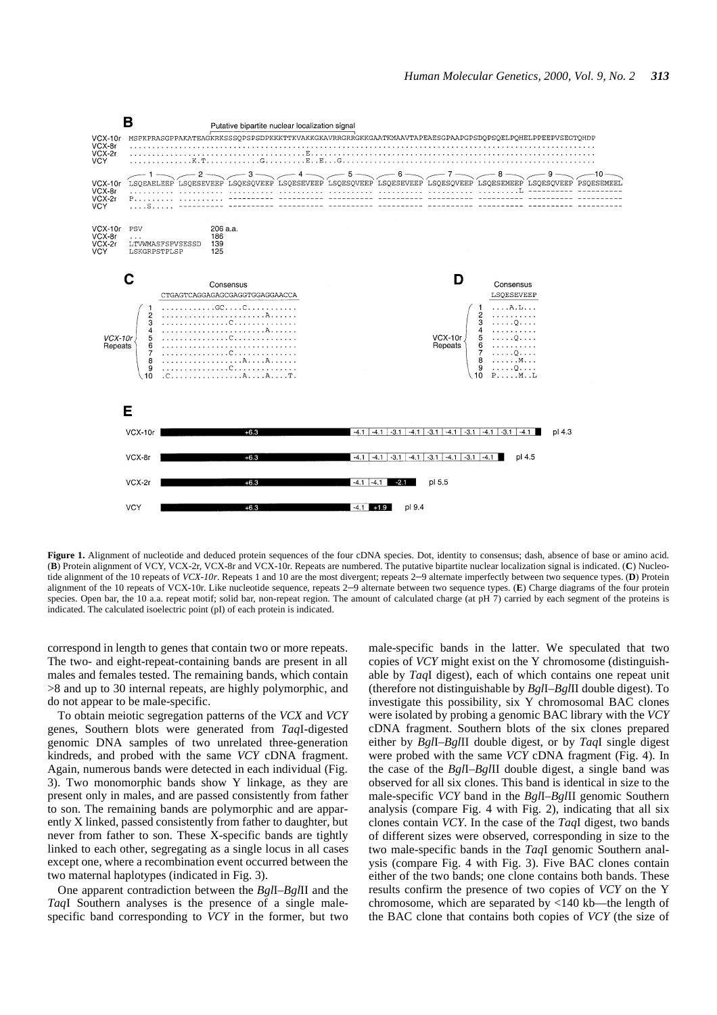<span id="page-2-0"></span>

Figure 1. Alignment of nucleotide and deduced protein sequences of the four cDNA species. Dot, identity to consensus; dash, absence of base or amino acid. (**B**) Protein alignment of VCY, VCX-2r, VCX-8r and VCX-10r. Repeats are numbered. The putative bipartite nuclear localization signal is indicated. (**C**) Nucleotide alignment of the 10 repeats of *VCX-10r*. Repeats 1 and 10 are the most divergent; repeats 2–9 alternate imperfectly between two sequence types. (**D**) Protein alignment of the 10 repeats of VCX-10r. Like nucleotide sequence, repeats 2–9 alternate between two sequence types. (**E**) Charge diagrams of the four protein species. Open bar, the 10 a.a. repeat motif; solid bar, non-repeat region. The amount of calculated charge (at pH 7) carried by each segment of the proteins is indicated. The calculated isoelectric point (pI) of each protein is indicated.

correspond in length to genes that contain two or more repeats. The two- and eight-repeat-containing bands are present in all males and females tested. The remaining bands, which contain >8 and up to 30 internal repeats, are highly polymorphic, and do not appear to be male-specific.

To obtain meiotic segregation patterns of the *VCX* and *VCY* genes, Southern blots were generated from *Taq*I-digested genomic DNA samples of two unrelated three-generation kindreds, and probed with the same *VCY* cDNA fragment. Again, numerous bands were detected in each individual (Fig. [3\)](#page-4-0). Two monomorphic bands show Y linkage, as they are present only in males, and are passed consistently from father to son. The remaining bands are polymorphic and are apparently X linked, passed consistently from father to daughter, but never from father to son. These X-specific bands are tightly linked to each other, segregating as a single locus in all cases except one, where a recombination event occurred between the two maternal haplotypes (indicated in Fig. [3](#page-4-0)).

One apparent contradiction between the *Bgl*I–*Bgl*II and the *Taq*I Southern analyses is the presence of a single malespecific band corresponding to *VCY* in the former, but two male-specific bands in the latter. We speculated that two copies of *VCY* might exist on the Y chromosome (distinguishable by *Taq*I digest), each of which contains one repeat unit (therefore not distinguishable by *Bgl*I–*Bgl*II double digest). To investigate this possibility, six Y chromosomal BAC clones were isolated by probing a genomic BAC library with the *VCY* cDNA fragment. Southern blots of the six clones prepared either by *Bgl*I–*Bgl*II double digest, or by *Taq*I single digest were probed with the same *VCY* cDNA fragment (Fig. [4](#page-5-0)). In the case of the *Bgl*I–*Bgl*II double digest, a single band was observed for all six clones. This band is identical in size to the male-specific *VCY* band in the *Bgl*I–*Bgl*II genomic Southern analysis (compare Fig. [4](#page-5-0) with Fig. [2\)](#page-2-0), indicating that all six clones contain *VCY*. In the case of the *Taq*I digest, two bands of different sizes were observed, corresponding in size to the two male-specific bands in the *Taq*I genomic Southern analysis (compare Fig. [4](#page-5-0) with Fig. [3](#page-4-0)). Five BAC clones contain either of the two bands; one clone contains both bands. These results confirm the presence of two copies of *VCY* on the Y chromosome, which are separated by <140 kb—the length of the BAC clone that contains both copies of *VCY* (the size of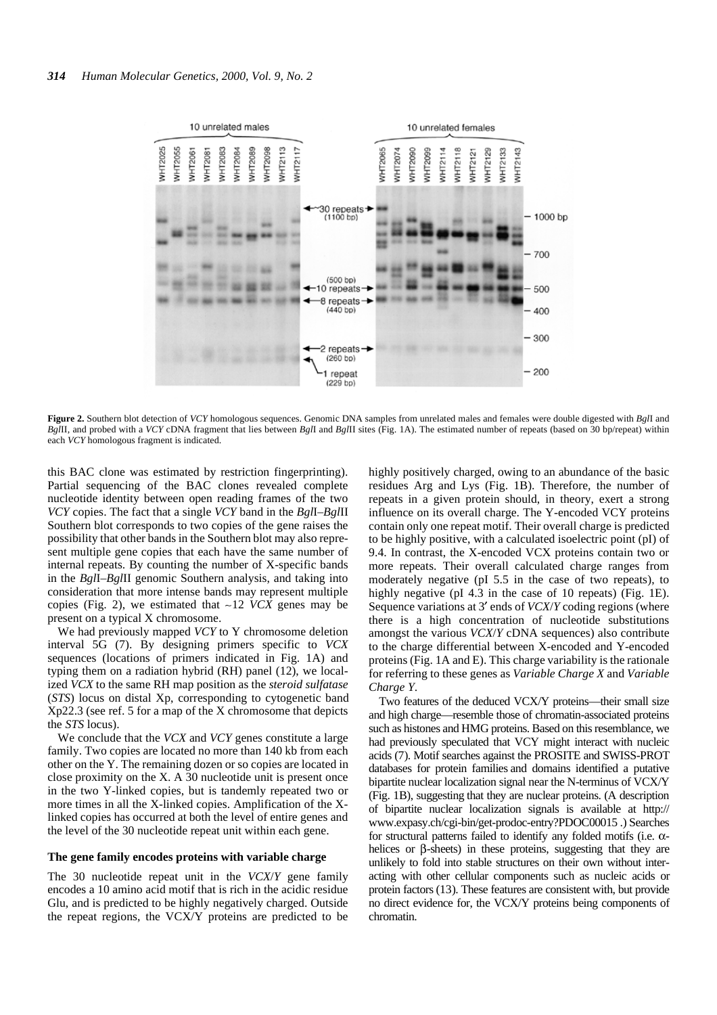<span id="page-3-0"></span>

**Figure 2.** Southern blot detection of *VCY* homologous sequences. Genomic DNA samples from unrelated males and females were double digested with *Bgl*I and *Bgl*II, and probed with a *VCY* cDNA fragment that lies between *Bgl*I and *Bgl*II sites (Fig. 1A). The estimated number of repeats (based on 30 bp/repeat) within each *VCY* homologous fragment is indicated.

this BAC clone was estimated by restriction fingerprinting). Partial sequencing of the BAC clones revealed complete nucleotide identity between open reading frames of the two *VCY* copies. The fact that a single *VCY* band in the *Bgl*I–*Bgl*II Southern blot corresponds to two copies of the gene raises the possibility that other bands in the Southern blot may also represent multiple gene copies that each have the same number of internal repeats. By counting the number of X-specific bands in the *Bgl*I–*Bgl*II genomic Southern analysis, and taking into consideration that more intense bands may represent multiple copies (Fig. [2](#page-3-0)), we estimated that  $\sim$ 12 *VCX* genes may be present on a typical X chromosome.

We had previously mapped *VCY* to Y chromosome deletion interval 5G ([7\)](#page-7-4). By designing primers specific to *VCX* sequences (locations of primers indicated in Fig. [1A](#page-1-0)) and typing them on a radiation hybrid (RH) panel [\(12](#page-7-9)), we localized *VCX* to the same RH map position as the *steroid sulfatase* (*STS*) locus on distal Xp, corresponding to cytogenetic band Xp22.3 (see ref. [5](#page-7-2) for a map of the X chromosome that depicts the *STS* locus).

We conclude that the *VCX* and *VCY* genes constitute a large family. Two copies are located no more than 140 kb from each other on the Y. The remaining dozen or so copies are located in close proximity on the X. A 30 nucleotide unit is present once in the two Y-linked copies, but is tandemly repeated two or more times in all the X-linked copies. Amplification of the Xlinked copies has occurred at both the level of entire genes and the level of the 30 nucleotide repeat unit within each gene.

#### **The gene family encodes proteins with variable charge**

The 30 nucleotide repeat unit in the *VCX*/*Y* gene family encodes a 10 amino acid motif that is rich in the acidic residue Glu, and is predicted to be highly negatively charged. Outside the repeat regions, the VCX/Y proteins are predicted to be highly positively charged, owing to an abundance of the basic residues Arg and Lys (Fig. [1B](#page-1-0)). Therefore, the number of repeats in a given protein should, in theory, exert a strong influence on its overall charge. The Y-encoded VCY proteins contain only one repeat motif. Their overall charge is predicted to be highly positive, with a calculated isoelectric point (pI) of 9.4. In contrast, the X-encoded VCX proteins contain two or more repeats. Their overall calculated charge ranges from moderately negative (pI 5.5 in the case of two repeats), to highly negative (pI 4.3 in the case of [1](#page-1-0)0 repeats) (Fig. 1E). Sequence variations at 3' ends of *VCX/Y* coding regions (where there is, a high concentration of mucleotide substitutions there is a high concentration of nucleotide substitutions amongst the various *VCX*/*Y* cDNA sequences) also contribute to the charge differential between X-encoded and Y-encoded proteins (Fig. [1](#page-1-0)A and E). This charge variability is the rationale for referring to these genes as *Variable Charge X* and *Variable Charge Y*.

Two features of the deduced VCX/Y proteins—their small size and high charge—resemble those of chromatin-associated proteins such as histones and HMG proteins. Based on this resemblance, we had previously speculated that VCY might interact with nucleic acids [\(7\)](#page-7-4). Motif searches against the PROSITE and SWISS-PROT databases for protein families and domains identified a putative bipartite nuclear localization signal near the N-terminus of VCX/Y (Fig. [1](#page-2-0)B), suggesting that they are nuclear proteins. (A description of bipartite nuclear localization signals is available at http:// www.expasy.ch/cgi-bin/get-prodoc-entry?PDOC00015 .) Searches for structural patterns failed to identify any folded motifs (i.e.  $\alpha$ helices or  $\beta$ -sheets) in these proteins, suggesting that they are unlikely to fold into stable structures on their own without interacting with other cellular components such as nucleic acids or protein factors [\(13](#page-7-10)). These features are consistent with, but provide no direct evidence for, the VCX/Y proteins being components of chromatin.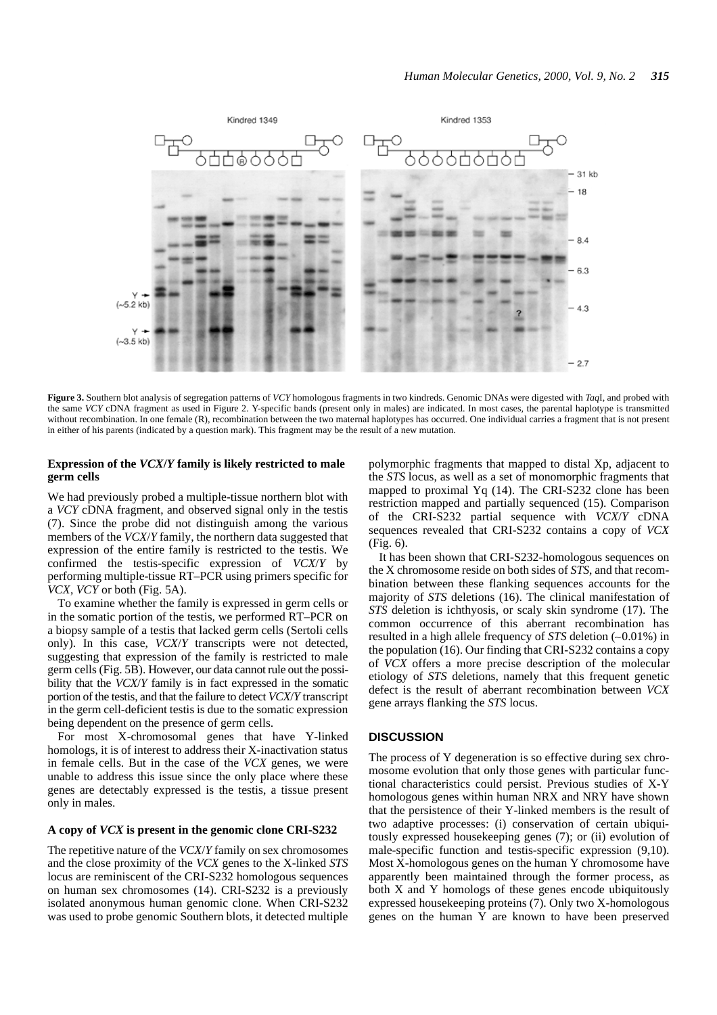<span id="page-4-0"></span>

**Figure 3.** Southern blot analysis of segregation patterns of *VCY* homologous fragments in two kindreds. Genomic DNAs were digested with *Taq*I, and probed with the same *VCY* cDNA fragment as used in Figure 2. Y-specific bands (present only in males) are indicated. In most cases, the parental haplotype is transmitted without recombination. In one female (R), recombination between the two maternal haplotypes has occurred. One individual carries a fragment that is not present in either of his parents (indicated by a question mark). This fragment may be the result of a new mutation.

#### **Expression of the** *VCX***/***Y* **family is likely restricted to male germ cells**

We had previously probed a multiple-tissue northern blot with a *VCY* cDNA fragment, and observed signal only in the testis ([7\)](#page-7-4). Since the probe did not distinguish among the various members of the *VCX*/*Y* family, the northern data suggested that expression of the entire family is restricted to the testis. We confirmed the testis-specific expression of *VCX*/*Y* by performing multiple-tissue RT–PCR using primers specific for *VCX*, *VCY* or both (Fig. [5A](#page-5-0)).

To examine whether the family is expressed in germ cells or in the somatic portion of the testis, we performed RT–PCR on a biopsy sample of a testis that lacked germ cells (Sertoli cells only). In this case, *VCX*/*Y* transcripts were not detected, suggesting that expression of the family is restricted to male germ cells (Fig. [5B](#page-5-0)). However, our data cannot rule out the possibility that the *VCX*/*Y* family is in fact expressed in the somatic portion of the testis, and that the failure to detect *VCX*/*Y* transcript in the germ cell-deficient testis is due to the somatic expression being dependent on the presence of germ cells.

For most X-chromosomal genes that have Y-linked homologs, it is of interest to address their X-inactivation status in female cells. But in the case of the *VCX* genes, we were unable to address this issue since the only place where these genes are detectably expressed is the testis, a tissue present only in males.

#### **A copy of** *VCX* **is present in the genomic clone CRI-S232**

The repetitive nature of the *VCX*/*Y* family on sex chromosomes and the close proximity of the *VCX* genes to the X-linked *STS* locus are reminiscent of the CRI-S232 homologous sequences on human sex chromosomes [\(14](#page-7-11)). CRI-S232 is a previously isolated anonymous human genomic clone. When CRI-S232 was used to probe genomic Southern blots, it detected multiple polymorphic fragments that mapped to distal Xp, adjacent to the *STS* locus, as well as a set of monomorphic fragments that mapped to proximal Yq ([14\)](#page-7-11). The CRI-S232 clone has been restriction mapped and partially sequenced [\(15](#page-7-12)). Comparison of the CRI-S232 partial sequence with *VCX*/*Y* cDNA sequences revealed that CRI-S232 contains a copy of *VCX* (Fig. [6\)](#page-6-0).

It has been shown that CRI-S232-homologous sequences on the X chromosome reside on both sides of *STS*, and that recombination between these flanking sequences accounts for the majority of *STS* deletions [\(16\)](#page-7-13). The clinical manifestation of *STS* deletion is ichthyosis, or scaly skin syndrome ([17\)](#page-8-1). The common occurrence of this aberrant recombination has resulted in a high allele frequency of *STS* deletion (~0.01%) in the population [\(16](#page-7-13)). Our finding that CRI-S232 contains a copy of *VCX* offers a more precise description of the molecular etiology of *STS* deletions, namely that this frequent genetic defect is the result of aberrant recombination between *VCX* gene arrays flanking the *STS* locus.

#### **DISCUSSION**

The process of Y degeneration is so effective during sex chromosome evolution that only those genes with particular functional characteristics could persist. Previous studies of X-Y homologous genes within human NRX and NRY have shown that the persistence of their Y-linked members is the result of two adaptive processes: (i) conservation of certain ubiquitously expressed housekeeping genes [\(7](#page-7-4)); or (ii) evolution of male-specific function and testis-specific expression [\(9](#page-7-6),[10\)](#page-7-7). Most X-homologous genes on the human Y chromosome have apparently been maintained through the former process, as both X and Y homologs of these genes encode ubiquitously expressed housekeeping proteins ([7\)](#page-7-4). Only two X-homologous genes on the human Y are known to have been preserved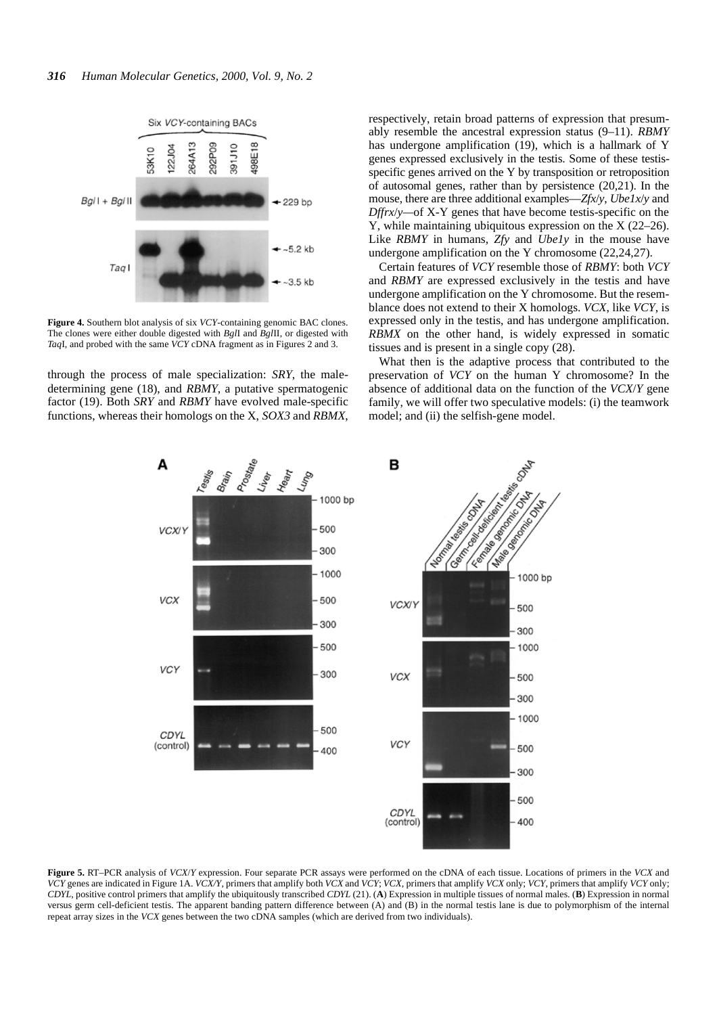<span id="page-5-0"></span>

**Figure 4.** Southern blot analysis of six *VCY*-containing genomic BAC clones. The clones were either double digested with *Bgl*I and *Bgl*II, or digested with *Taq*I, and probed with the same *VCY* cDNA fragment as in Figures 2 and 3.

through the process of male specialization: *SRY*, the maledetermining gene [\(18](#page-8-2)), and *RBMY*, a putative spermatogenic factor [\(19](#page-8-3)). Both *SRY* and *RBMY* have evolved male-specific functions, whereas their homologs on the X, *SOX3* and *RBMX*, respectively, retain broad patterns of expression that presumably resemble the ancestral expression status ([9–](#page-7-6)[11\)](#page-7-8). *RBMY* has undergone amplification ([19\)](#page-8-3), which is a hallmark of Y genes expressed exclusively in the testis. Some of these testisspecific genes arrived on the Y by transposition or retroposition of autosomal genes, rather than by persistence [\(20](#page-8-4),[21](#page-8-5)). In the mouse, there are three additional examples—*Zfx*/*y*, *Ube1x*/*y* and *Dffrx*/*y—*of X-Y genes that have become testis-specific on the Y, while maintaining ubiquitous expression on the X ([22–](#page-8-6)[26\)](#page-8-7). Like *RBMY* in humans, *Zfy* and *Ube1y* in the mouse have undergone amplification on the Y chromosome ([22](#page-8-6)[,24](#page-8-8),[27\)](#page-8-9).

Certain features of *VCY* resemble those of *RBMY*: both *VCY* and *RBMY* are expressed exclusively in the testis and have undergone amplification on the Y chromosome. But the resemblance does not extend to their X homologs. *VCX*, like *VCY*, is expressed only in the testis, and has undergone amplification. *RBMX* on the other hand, is widely expressed in somatic tissues and is present in a single copy [\(28](#page-8-10)).

What then is the adaptive process that contributed to the preservation of *VCY* on the human Y chromosome? In the absence of additional data on the function of the *VCX*/*Y* gene family, we will offer two speculative models: (i) the teamwork model; and (ii) the selfish-gene model.



**Figure 5.** RT–PCR analysis of *VCX*/*Y* expression. Four separate PCR assays were performed on the cDNA of each tissue. Locations of primers in the *VCX* and *VCY* genes are indicated in Figure 1A. *VCX/Y*, primers that amplify both *VCX* and *VCY*; *VCX*, primers that amplify *VCX* only; *VCY*, primers that amplify *VCY* only; *CDYL*, positive control primers that amplify the ubiquitously transcribed *CDYL* (21). (**A**) Expression in multiple tissues of normal males. (**B**) Expression in normal versus germ cell-deficient testis. The apparent banding pattern difference between (A) and (B) in the normal testis lane is due to polymorphism of the internal repeat array sizes in the *VCX* genes between the two cDNA samples (which are derived from two individuals).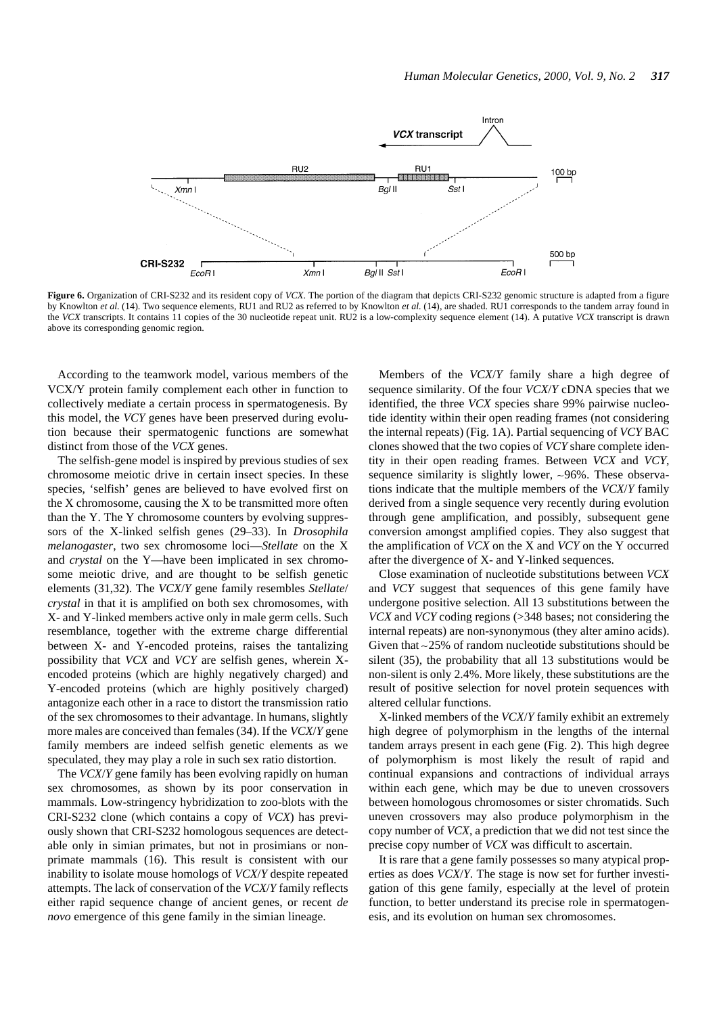<span id="page-6-0"></span>

Figure 6. Organization of CRI-S232 and its resident copy of *VCX*. The portion of the diagram that depicts CRI-S232 genomic structure is adapted from a figure by Knowlton *et al.* (14). Two sequence elements, RU1 and RU2 as referred to by Knowlton *et al.* (14), are shaded. RU1 corresponds to the tandem array found in the *VCX* transcripts. It contains 11 copies of the 30 nucleotide repeat unit. RU2 is a low-complexity sequence element (14). A putative *VCX* transcript is drawn above its corresponding genomic region.

According to the teamwork model, various members of the VCX/Y protein family complement each other in function to collectively mediate a certain process in spermatogenesis. By this model, the *VCY* genes have been preserved during evolution because their spermatogenic functions are somewhat distinct from those of the *VCX* genes.

The selfish-gene model is inspired by previous studies of sex chromosome meiotic drive in certain insect species. In these species, 'selfish' genes are believed to have evolved first on the  $X$  chromosome, causing the  $X$  to be transmitted more often than the Y. The Y chromosome counters by evolving suppressors of the X-linked selfish genes [\(29](#page-8-11)[–33](#page-8-12)). In *Drosophila melanogaster*, two sex chromosome loci—*Stellate* on the X and *crystal* on the Y—have been implicated in sex chromosome meiotic drive, and are thought to be selfish genetic elements [\(31](#page-8-13),[32\)](#page-8-14). The *VCX*/*Y* gene family resembles *Stellate*/ *crystal* in that it is amplified on both sex chromosomes, with X- and Y-linked members active only in male germ cells. Such resemblance, together with the extreme charge differential between X- and Y-encoded proteins, raises the tantalizing possibility that *VCX* and *VCY* are selfish genes, wherein Xencoded proteins (which are highly negatively charged) and Y-encoded proteins (which are highly positively charged) antagonize each other in a race to distort the transmission ratio of the sex chromosomes to their advantage. In humans, slightly more males are conceived than females ([34\)](#page-8-15). If the *VCX*/*Y* gene family members are indeed selfish genetic elements as we speculated, they may play a role in such sex ratio distortion.

The *VCX*/*Y* gene family has been evolving rapidly on human sex chromosomes, as shown by its poor conservation in mammals. Low-stringency hybridization to zoo-blots with the CRI-S232 clone (which contains a copy of *VCX*) has previously shown that CRI-S232 homologous sequences are detectable only in simian primates, but not in prosimians or nonprimate mammals ([16\)](#page-7-13). This result is consistent with our inability to isolate mouse homologs of *VCX*/*Y* despite repeated attempts. The lack of conservation of the *VCX*/*Y* family reflects either rapid sequence change of ancient genes, or recent *de novo* emergence of this gene family in the simian lineage.

Members of the *VCX*/*Y* family share a high degree of sequence similarity. Of the four *VCX*/*Y* cDNA species that we identified, the three *VCX* species share 99% pairwise nucleotide identity within their open reading frames (not considering the internal repeats) (Fig. [1](#page-1-0)A). Partial sequencing of *VCY* BAC clones showed that the two copies of *VCY* share complete identity in their open reading frames. Between *VCX* and *VCY*, sequence similarity is slightly lower,  $\sim 96\%$ . These observations indicate that the multiple members of the *VCX*/*Y* family derived from a single sequence very recently during evolution through gene amplification, and possibly, subsequent gene conversion amongst amplified copies. They also suggest that the amplification of *VCX* on the X and *VCY* on the Y occurred after the divergence of X- and Y-linked sequences.

Close examination of nucleotide substitutions between *VCX* and *VCY* suggest that sequences of this gene family have undergone positive selection. All 13 substitutions between the *VCX* and *VCY* coding regions (>348 bases; not considering the internal repeats) are non-synonymous (they alter amino acids). Given that  $\sim$  25% of random nucleotide substitutions should be silent ([35\)](#page-8-16), the probability that all 13 substitutions would be non-silent is only 2.4%. More likely, these substitutions are the result of positive selection for novel protein sequences with altered cellular functions.

X-linked members of the *VCX*/*Y* family exhibit an extremely high degree of polymorphism in the lengths of the internal tandem arrays present in each gene (Fig. [2](#page-3-0)). This high degree of polymorphism is most likely the result of rapid and continual expansions and contractions of individual arrays within each gene, which may be due to uneven crossovers between homologous chromosomes or sister chromatids. Such uneven crossovers may also produce polymorphism in the copy number of *VCX*, a prediction that we did not test since the precise copy number of *VCX* was difficult to ascertain.

It is rare that a gene family possesses so many atypical properties as does *VCX*/*Y*. The stage is now set for further investigation of this gene family, especially at the level of protein function, to better understand its precise role in spermatogenesis, and its evolution on human sex chromosomes.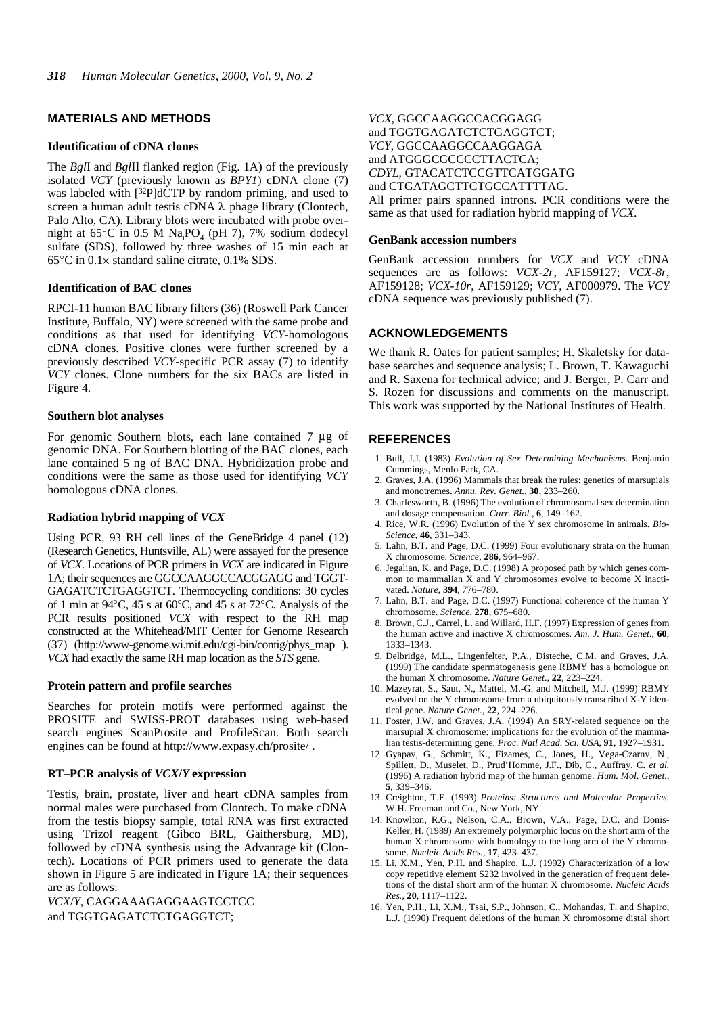## **MATERIALS AND METHODS**

#### **Identification of cDNA clones**

The *Bgl*I and *Bgl*II flanked region (Fig. [1](#page-1-0)A) of the previously isolated *VCY* (previously known as *BPY1*) cDNA clone ([7\)](#page-7-4) was labeled with [32P]dCTP by random priming, and used to screen a human adult testis cDNA  $\lambda$  phage library (Clontech, Palo Alto, CA). Library blots were incubated with probe overnight at  $65^{\circ}$ C in 0.5 M Na<sub>i</sub>PO<sub>4</sub> (pH 7), 7% sodium dodecyl<br>sulfate (SDS), followed by three weeks of 15 min ageb at sulfate (SDS), followed by three washes of 15 min each at  $65^{\circ}$ C in  $0.1 \times$  standard saline citrate,  $0.1\%$  SDS.

#### **Identification of BAC clones**

RPCI-11 human BAC library filters ([36\)](#page-8-17) (Roswell Park Cancer Institute, Buffalo, NY) were screened with the same probe and conditions as that used for identifying *VCY*-homologous cDNA clones. Positive clones were further screened by a previously described *VCY*-specific PCR assay ([7\)](#page-7-4) to identify *VCY* clones. Clone numbers for the six BACs are listed in Figure [4.](#page-5-0)

#### **Southern blot analyses**

For genomic Southern blots, each lane contained  $7 \mu$ g of genomic DNA. For Southern blotting of the BAC clones, each lane contained 5 ng of BAC DNA. Hybridization probe and conditions were the same as those used for identifying *VCY* homologous cDNA clones.

#### **Radiation hybrid mapping of** *VCX*

Using PCR, 93 RH cell lines of the GeneBridge 4 panel [\(12\)](#page-7-9) (Research Genetics, Huntsville, AL) were assayed for the presence of *VCX*. Locations of PCR primers in *VCX* are indicated in Figure [1A](#page-1-0): their sequences are GGCCAAGGCCACGGAGG and TGGT-GAGATCTCTGAGGTCT. Thermocycling conditions: 30 cycles of 1 min at 94 $\degree$ C, 45 s at 60 $\degree$ C, and 45 s at 72 $\degree$ C. Analysis of the PCR results positioned *VCX* with respect to the RH map constructed at the Whitehead/MIT Center for Genome Research ([37\)](#page-8-18) (http://www-genome.wi.mit.edu/cgi-bin/contig/phys\_map ). *VCX* had exactly the same RH map location as the *STS* gene.

#### **Protein pattern and profile searches**

Searches for protein motifs were performed against the PROSITE and SWISS-PROT databases using web-based search engines ScanProsite and ProfileScan. Both search engines can be found at http://www.expasy.ch/prosite/ .

## **RT–PCR analysis of** *VCX***/***Y* **expression**

Testis, brain, prostate, liver and heart cDNA samples from normal males were purchased from Clontech. To make cDNA from the testis biopsy sample, total RNA was first extracted using Trizol reagent (Gibco BRL, Gaithersburg, MD), followed by cDNA synthesis using the Advantage kit (Clontech). Locations of PCR primers used to generate the data shown in Figure [5](#page-5-0) are indicated in Figure [1A](#page-1-0); their sequences are as follows:

*VCX*/*Y*, CAGGAAAGAGGAAGTCCTCC and TGGTGAGATCTCTGAGGTCT;

*VCX*, GGCCAAGGCCACGGAGG and TGGTGAGATCTCTGAGGTCT; *VCY*, GGCCAAGGCCAAGGAGA and ATGGGCGCCCCTTACTCA; *CDYL*, GTACATCTCCGTTCATGGATG and CTGATAGCTTCTGCCATTTTAG. All primer pairs spanned introns. PCR conditions were the same as that used for radiation hybrid mapping of *VCX*.

#### **GenBank accession numbers**

GenBank accession numbers for *VCX* and *VCY* cDNA sequences are as follows: *VCX-2r*, AF159127; *VCX-8r*, AF159128; *VCX-10r*, AF159129; *VCY*, AF000979. The *VCY* cDNA sequence was previously published [\(7](#page-7-4)).

## **ACKNOWLEDGEMENTS**

We thank R. Oates for patient samples; H. Skaletsky for database searches and sequence analysis; L. Brown, T. Kawaguchi and R. Saxena for technical advice; and J. Berger, P. Carr and S. Rozen for discussions and comments on the manuscript. This work was supported by the National Institutes of Health.

## **REFERENCES**

- <span id="page-7-0"></span>1. Bull, J.J. (1983) *Evolution of Sex Determining Mechanisms.* Benjamin Cummings, Menlo Park, CA.
- 2. Graves, J.A. (1996) Mammals that break the rules: genetics of marsupials and monotremes. *Annu. Rev. Genet.*, **30**, 233–260.
- 3. Charlesworth, B. (1996) The evolution of chromosomal sex determination and dosage compensation. *Curr. Biol.*, **6**, 149–162.
- <span id="page-7-1"></span>4. Rice, W.R. (1996) Evolution of the Y sex chromosome in animals. *Bio-Science*, **46**, 331–343.
- <span id="page-7-2"></span>5. Lahn, B.T. and Page, D.C. (1999) Four evolutionary strata on the human X chromosome. *Science*, **286**, 964–967.
- <span id="page-7-3"></span>6. Jegalian, K. and Page, D.C. (1998) A proposed path by which genes common to mammalian X and Y chromosomes evolve to become X inactivated. *Nature*, **394**, 776–780.
- <span id="page-7-4"></span>7. Lahn, B.T. and Page, D.C. (1997) Functional coherence of the human Y chromosome. *Science*, **278**, 675–680.
- <span id="page-7-5"></span>8. Brown, C.J., Carrel, L. and Willard, H.F. (1997) Expression of genes from the human active and inactive X chromosomes. *Am. J. Hum. Genet.*, **60**, 1333–1343.
- <span id="page-7-6"></span>9. Delbridge, M.L., Lingenfelter, P.A., Disteche, C.M. and Graves, J.A. (1999) The candidate spermatogenesis gene RBMY has a homologue on the human X chromosome. *Nature Genet.*, **22**, 223–224.
- <span id="page-7-7"></span>10. Mazeyrat, S., Saut, N., Mattei, M.-G. and Mitchell, M.J. (1999) RBMY evolved on the Y chromosome from a ubiquitously transcribed X-Y identical gene. *Nature Genet.*, **22**, 224–226.
- <span id="page-7-8"></span>11. Foster, J.W. and Graves, J.A. (1994) An SRY-related sequence on the marsupial X chromosome: implications for the evolution of the mammalian testis-determining gene. *Proc. Natl Acad. Sci. USA*, **91**, 1927–1931.
- <span id="page-7-9"></span>12. Gyapay, G., Schmitt, K., Fizames, C., Jones, H., Vega-Czarny, N., Spillett, D., Muselet, D., Prud'Homme, J.F., Dib, C., Auffray, C. *et al.* (1996) A radiation hybrid map of the human genome. *Hum. Mol. Genet.*, **5**, 339–346.
- <span id="page-7-10"></span>13. Creighton, T.E. (1993) *Proteins: Structures and Molecular Properties.* W.H. Freeman and Co., New York, NY.
- <span id="page-7-11"></span>14. Knowlton, R.G., Nelson, C.A., Brown, V.A., Page, D.C. and Donis-Keller, H. (1989) An extremely polymorphic locus on the short arm of the human X chromosome with homology to the long arm of the Y chromosome. *Nucleic Acids Res.*, **17**, 423–437.
- <span id="page-7-12"></span>15. Li, X.M., Yen, P.H. and Shapiro, L.J. (1992) Characterization of a low copy repetitive element S232 involved in the generation of frequent deletions of the distal short arm of the human X chromosome. *Nucleic Acids Res.*, **20**, 1117–1122.
- <span id="page-7-13"></span>16. Yen, P.H., Li, X.M., Tsai, S.P., Johnson, C., Mohandas, T. and Shapiro, L.J. (1990) Frequent deletions of the human X chromosome distal short